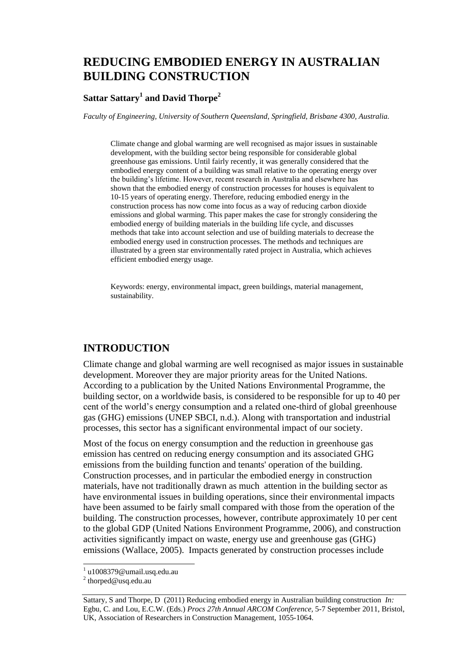# **REDUCING EMBODIED ENERGY IN AUSTRALIAN BUILDING CONSTRUCTION**

### **Sattar Sattary<sup>1</sup> and David Thorpe<sup>2</sup>**

*Faculty of Engineering, University of Southern Queensland, Springfield, Brisbane 4300, Australia.*

Climate change and global warming are well recognised as major issues in sustainable development, with the building sector being responsible for considerable global greenhouse gas emissions. Until fairly recently, it was generally considered that the embodied energy content of a building was small relative to the operating energy over the building's lifetime. However, recent research in Australia and elsewhere has shown that the embodied energy of construction processes for houses is equivalent to 10-15 years of operating energy. Therefore, reducing embodied energy in the construction process has now come into focus as a way of reducing carbon dioxide emissions and global warming. This paper makes the case for strongly considering the embodied energy of building materials in the building life cycle, and discusses methods that take into account selection and use of building materials to decrease the embodied energy used in construction processes. The methods and techniques are illustrated by a green star environmentally rated project in Australia, which achieves efficient embodied energy usage.

Keywords: energy, environmental impact, green buildings, material management, sustainability.

### **INTRODUCTION**

Climate change and global warming are well recognised as major issues in sustainable development. Moreover they are major priority areas for the United Nations. According to a publication by the United Nations Environmental Programme, the building sector, on a worldwide basis, is considered to be responsible for up to 40 per cent of the world's energy consumption and a related one-third of global greenhouse gas (GHG) emissions (UNEP SBCI, n.d.). Along with transportation and industrial processes, this sector has a significant environmental impact of our society.

Most of the focus on energy consumption and the reduction in greenhouse gas emission has centred on reducing energy consumption and its associated GHG emissions from the building function and tenants' operation of the building. Construction processes, and in particular the embodied energy in construction materials, have not traditionally drawn as much attention in the building sector as have environmental issues in building operations, since their environmental impacts have been assumed to be fairly small compared with those from the operation of the building. The construction processes, however, contribute approximately 10 per cent to the global GDP (United Nations Environment Programme, 2006), and construction activities significantly impact on waste, energy use and greenhouse gas (GHG) emissions (Wallace, 2005). Impacts generated by construction processes include

 $\overline{a}$ 

<sup>&</sup>lt;sup>1</sup> u1008379@umail.usq.edu.au

 $2$  thorped@usq.edu.au

Sattary, S and Thorpe, D (2011) Reducing embodied energy in Australian building construction *In:* Egbu, C. and Lou, E.C.W. (Eds.) *Procs 27th Annual ARCOM Conference,* 5-7 September 2011, Bristol, UK, Association of Researchers in Construction Management, 1055-1064.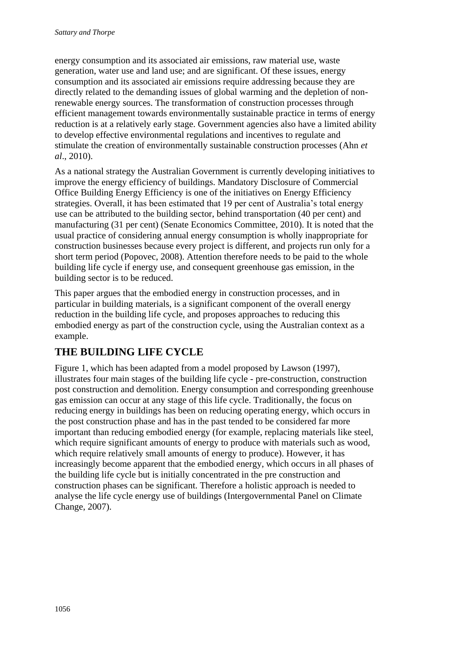energy consumption and its associated air emissions, raw material use, waste generation, water use and land use; and are significant. Of these issues, energy consumption and its associated air emissions require addressing because they are directly related to the demanding issues of global warming and the depletion of nonrenewable energy sources. The transformation of construction processes through efficient management towards environmentally sustainable practice in terms of energy reduction is at a relatively early stage. Government agencies also have a limited ability to develop effective environmental regulations and incentives to regulate and stimulate the creation of environmentally sustainable construction processes (Ahn *et al*., 2010).

As a national strategy the Australian Government is currently developing initiatives to improve the energy efficiency of buildings. Mandatory Disclosure of Commercial Office Building Energy Efficiency is one of the initiatives on Energy Efficiency strategies. Overall, it has been estimated that 19 per cent of Australia's total energy use can be attributed to the building sector, behind transportation (40 per cent) and manufacturing (31 per cent) (Senate Economics Committee, 2010). It is noted that the usual practice of considering annual energy consumption is wholly inappropriate for construction businesses because every project is different, and projects run only for a short term period (Popovec, 2008). Attention therefore needs to be paid to the whole building life cycle if energy use, and consequent greenhouse gas emission, in the building sector is to be reduced.

This paper argues that the embodied energy in construction processes, and in particular in building materials, is a significant component of the overall energy reduction in the building life cycle, and proposes approaches to reducing this embodied energy as part of the construction cycle, using the Australian context as a example.

## **THE BUILDING LIFE CYCLE**

Figure 1, which has been adapted from a model proposed by Lawson (1997), illustrates four main stages of the building life cycle - pre-construction, construction post construction and demolition. Energy consumption and corresponding greenhouse gas emission can occur at any stage of this life cycle. Traditionally, the focus on reducing energy in buildings has been on reducing operating energy, which occurs in the post construction phase and has in the past tended to be considered far more important than reducing embodied energy (for example, replacing materials like steel, which require significant amounts of energy to produce with materials such as wood, which require relatively small amounts of energy to produce). However, it has increasingly become apparent that the embodied energy, which occurs in all phases of the building life cycle but is initially concentrated in the pre construction and construction phases can be significant. Therefore a holistic approach is needed to analyse the life cycle energy use of buildings (Intergovernmental Panel on Climate Change, 2007).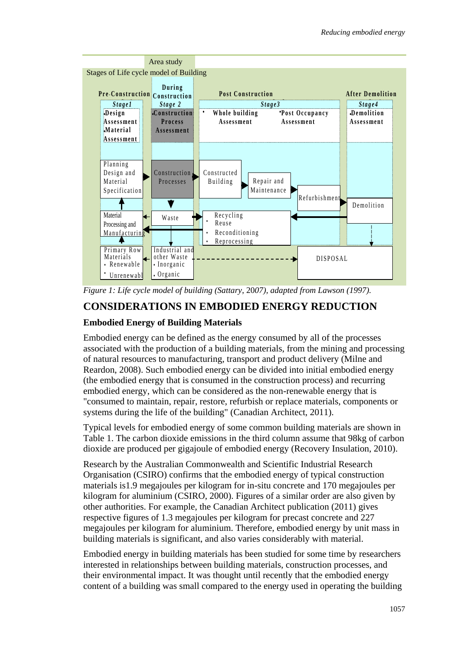

*Figure 1: Life cycle model of building (Sattary*, 20*07), adapted from Lawson (1997).* e

## **CONSIDERATIONS IN EMBODIED ENERGY REDUCTION**

### **Embodied Energy of Building Materials**

Embodied energy can be defined as the energy consumed by all of the processes associated with the production of a building materials, from the mining and processing of natural resources to manufacturing, transport and product delivery (Milne and Reardon, 2008). Such embodied energy can be divided into initial embodied energy (the embodied energy that is consumed in the construction process) and recurring embodied energy, which can be considered as the non-renewable energy that is "consumed to maintain, repair, restore, refurbish or replace materials, components or systems during the life of the building" (Canadian Architect, 2011).

Typical levels for embodied energy of some common building materials are shown in Table 1. The carbon dioxide emissions in the third column assume that 98kg of carbon dioxide are produced per gigajoule of embodied energy (Recovery Insulation, 2010).

Research by the Australian Commonwealth and Scientific Industrial Research Organisation (CSIRO) confirms that the embodied energy of typical construction materials is1.9 megajoules per kilogram for in-situ concrete and 170 megajoules per kilogram for aluminium (CSIRO, 2000). Figures of a similar order are also given by other authorities. For example, the Canadian Architect publication (2011) gives respective figures of 1.3 megajoules per kilogram for precast concrete and 227 megajoules per kilogram for aluminium. Therefore, embodied energy by unit mass in building materials is significant, and also varies considerably with material.

Embodied energy in building materials has been studied for some time by researchers interested in relationships between building materials, construction processes, and their environmental impact. It was thought until recently that the embodied energy content of a building was small compared to the energy used in operating the building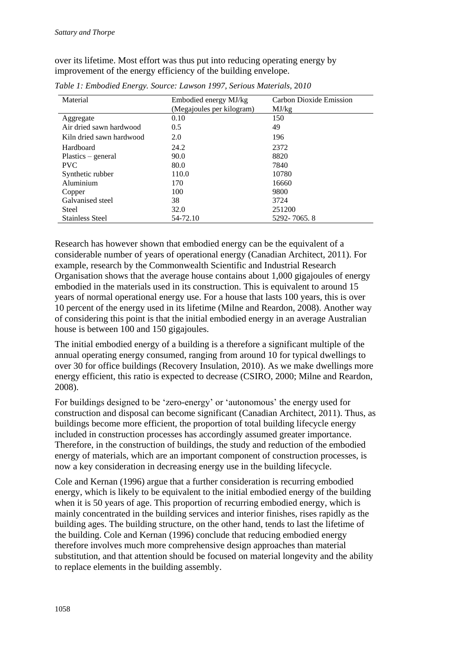over its lifetime. Most effort was thus put into reducing operating energy by improvement of the energy efficiency of the building envelope.

| Material                 | Embodied energy MJ/kg     | Carbon Dioxide Emission |
|--------------------------|---------------------------|-------------------------|
|                          | (Megajoules per kilogram) | MJ/kg                   |
| Aggregate                | 0.10                      | 150                     |
| Air dried sawn hardwood  | 0.5                       | 49                      |
| Kiln dried sawn hardwood | 2.0                       | 196                     |
| Hardboard                | 24.2                      | 2372                    |
| Plastics – general       | 90.0                      | 8820                    |
| <b>PVC</b>               | 80.0                      | 7840                    |
| Synthetic rubber         | 110.0                     | 10780                   |
| Aluminium                | 170                       | 16660                   |
| Copper                   | 100                       | 9800                    |
| Galvanised steel         | 38                        | 3724                    |
| <b>Steel</b>             | 32.0                      | 251200                  |
| <b>Stainless Steel</b>   | 54-72.10                  | 5292-7065.8             |

*Table 1: Embodied Energy. Source: Lawson 1997, Serious Materials*, 20*10*

Research has however shown that embodied energy can be the equivalent of a considerable number of years of operational energy (Canadian Architect, 2011). For example, research by the Commonwealth Scientific and Industrial Research Organisation shows that the average house contains about 1,000 gigajoules of energy embodied in the materials used in its construction. This is equivalent to around 15 years of normal operational energy use. For a house that lasts 100 years, this is over 10 percent of the energy used in its lifetime (Milne and Reardon, 2008). Another way of considering this point is that the initial embodied energy in an average Australian house is between 100 and 150 gigajoules.

The initial embodied energy of a building is a therefore a significant multiple of the annual operating energy consumed, ranging from around 10 for typical dwellings to over 30 for office buildings (Recovery Insulation, 2010). As we make dwellings more energy efficient, this ratio is expected to decrease (CSIRO, 2000; Milne and Reardon, 2008).

For buildings designed to be 'zero-energy' or 'autonomous' the energy used for construction and disposal can become significant (Canadian Architect, 2011). Thus, as buildings become more efficient, the proportion of total building lifecycle energy included in construction processes has accordingly assumed greater importance. Therefore, in the construction of buildings, the study and reduction of the embodied energy of materials, which are an important component of construction processes, is now a key consideration in decreasing energy use in the building lifecycle.

Cole and Kernan (1996) argue that a further consideration is recurring embodied energy, which is likely to be equivalent to the initial embodied energy of the building when it is 50 years of age. This proportion of recurring embodied energy, which is mainly concentrated in the building services and interior finishes, rises rapidly as the building ages. The building structure, on the other hand, tends to last the lifetime of the building. Cole and Kernan (1996) conclude that reducing embodied energy therefore involves much more comprehensive design approaches than material substitution, and that attention should be focused on material longevity and the ability to replace elements in the building assembly.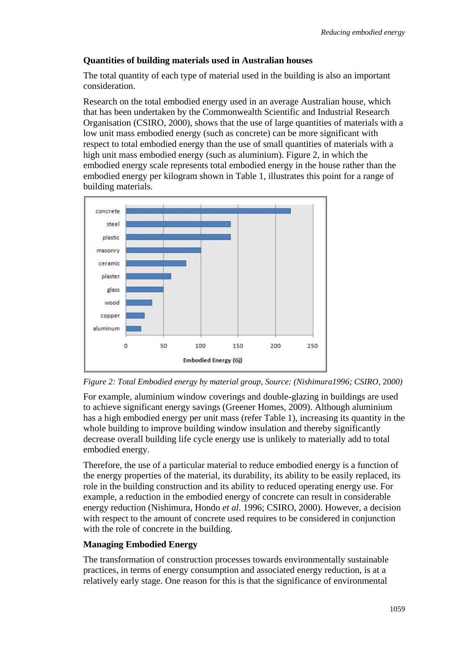#### **Quantities of building materials used in Australian houses**

The total quantity of each type of material used in the building is also an important consideration.

Research on the total embodied energy used in an average Australian house, which that has been undertaken by the Commonwealth Scientific and Industrial Research Organisation (CSIRO, 2000), shows that the use of large quantities of materials with a low unit mass embodied energy (such as concrete) can be more significant with respect to total embodied energy than the use of small quantities of materials with a high unit mass embodied energy (such as aluminium). Figure 2, in which the embodied energy scale represents total embodied energy in the house rather than the embodied energy per kilogram shown in Table 1, illustrates this point for a range of building materials.





For example, aluminium window coverings and double-glazing in buildings are used to achieve significant energy savings (Greener Homes, 2009). Although aluminium has a high embodied energy per unit mass (refer Table 1), increasing its quantity in the whole building to improve building window insulation and thereby significantly decrease overall building life cycle energy use is unlikely to materially add to total embodied energy.

Therefore, the use of a particular material to reduce embodied energy is a function of the energy properties of the material, its durability, its ability to be easily replaced, its role in the building construction and its ability to reduced operating energy use. For example, a reduction in the embodied energy of concrete can result in considerable energy reduction (Nishimura, Hondo *et al*. 1996; CSIRO, 2000). However, a decision with respect to the amount of concrete used requires to be considered in conjunction with the role of concrete in the building.

#### **Managing Embodied Energy**

The transformation of construction processes towards environmentally sustainable practices, in terms of energy consumption and associated energy reduction, is at a relatively early stage. One reason for this is that the significance of environmental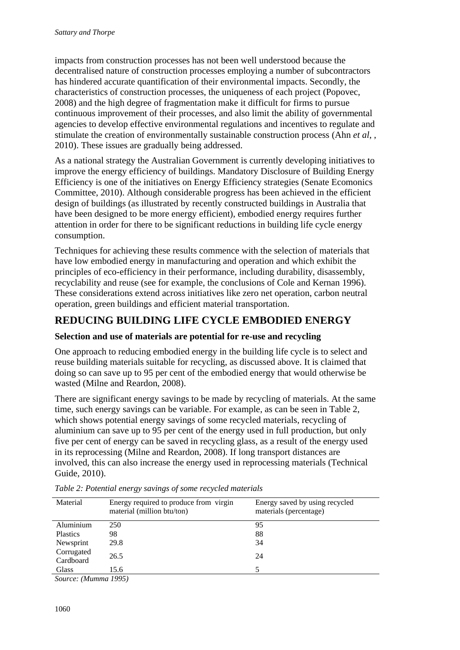impacts from construction processes has not been well understood because the decentralised nature of construction processes employing a number of subcontractors has hindered accurate quantification of their environmental impacts. Secondly, the characteristics of construction processes, the uniqueness of each project (Popovec, 2008) and the high degree of fragmentation make it difficult for firms to pursue continuous improvement of their processes, and also limit the ability of governmental agencies to develop effective environmental regulations and incentives to regulate and stimulate the creation of environmentally sustainable construction process (Ahn *et al*, , 2010). These issues are gradually being addressed.

As a national strategy the Australian Government is currently developing initiatives to improve the energy efficiency of buildings. Mandatory Disclosure of Building Energy Efficiency is one of the initiatives on Energy Efficiency strategies (Senate Ecomonics Committee, 2010). Although considerable progress has been achieved in the efficient design of buildings (as illustrated by recently constructed buildings in Australia that have been designed to be more energy efficient), embodied energy requires further attention in order for there to be significant reductions in building life cycle energy consumption.

Techniques for achieving these results commence with the selection of materials that have low embodied energy in manufacturing and operation and which exhibit the principles of eco-efficiency in their performance, including durability, disassembly, recyclability and reuse (see for example, the conclusions of Cole and Kernan 1996). These considerations extend across initiatives like zero net operation, carbon neutral operation, green buildings and efficient material transportation.

### **REDUCING BUILDING LIFE CYCLE EMBODIED ENERGY**

#### **Selection and use of materials are potential for re-use and recycling**

One approach to reducing embodied energy in the building life cycle is to select and reuse building materials suitable for recycling, as discussed above. It is claimed that doing so can save up to 95 per cent of the embodied energy that would otherwise be wasted (Milne and Reardon, 2008).

There are significant energy savings to be made by recycling of materials. At the same time, such energy savings can be variable. For example, as can be seen in Table 2, which shows potential energy savings of some recycled materials, recycling of aluminium can save up to 95 per cent of the energy used in full production, but only five per cent of energy can be saved in recycling glass, as a result of the energy used in its reprocessing (Milne and Reardon, 2008). If long transport distances are involved, this can also increase the energy used in reprocessing materials (Technical Guide, 2010).

| Material                       | Energy required to produce from virgin<br>material (million btu/ton) | Energy saved by using recycled<br>materials (percentage) |
|--------------------------------|----------------------------------------------------------------------|----------------------------------------------------------|
| Aluminium                      | 250                                                                  | 95                                                       |
| <b>Plastics</b>                | 98                                                                   | 88                                                       |
| Newsprint                      | 29.8                                                                 | 34                                                       |
| Corrugated<br>Cardboard        | 26.5                                                                 | 24                                                       |
| Glass                          | 15.6                                                                 |                                                          |
| $\sim$ $\sim$<br>$\sim$ $\sim$ | $\mathbf{1} \cap \mathbf{1} \subset \mathbf{1}$                      |                                                          |

*Table 2: Potential energy savings of some recycled materials* 

*Source: (Mumma 1995)*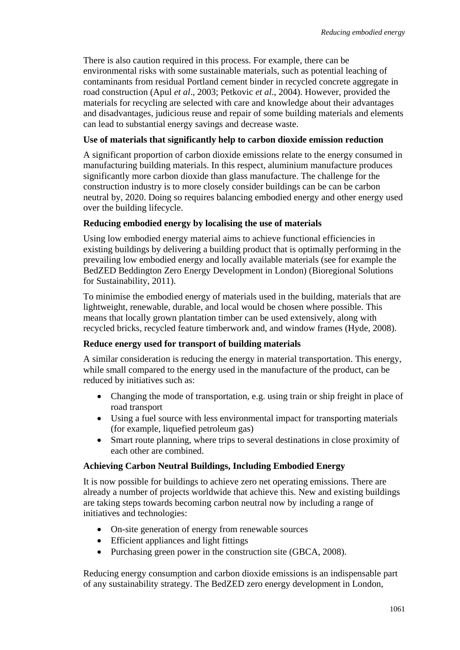There is also caution required in this process. For example, there can be environmental risks with some sustainable materials, such as potential leaching of contaminants from residual Portland cement binder in recycled concrete aggregate in road construction (Apul *et al*., 2003; Petkovic *et al*., 2004). However, provided the materials for recycling are selected with care and knowledge about their advantages and disadvantages, judicious reuse and repair of some building materials and elements can lead to substantial energy savings and decrease waste.

#### **Use of materials that significantly help to carbon dioxide emission reduction**

A significant proportion of carbon dioxide emissions relate to the energy consumed in manufacturing building materials. In this respect, aluminium manufacture produces significantly more carbon dioxide than glass manufacture. The challenge for the construction industry is to more closely consider buildings can be can be carbon neutral by, 2020. Doing so requires balancing embodied energy and other energy used over the building lifecycle.

#### **Reducing embodied energy by localising the use of materials**

Using low embodied energy material aims to achieve functional efficiencies in existing buildings by delivering a building product that is optimally performing in the prevailing low embodied energy and locally available materials (see for example the BedZED Beddington Zero Energy Development in London) (Bioregional Solutions for Sustainability, 2011).

To minimise the embodied energy of materials used in the building, materials that are lightweight, renewable, durable, and local would be chosen where possible. This means that locally grown plantation timber can be used extensively, along with recycled bricks, recycled feature timberwork and, and window frames (Hyde, 2008).

#### **Reduce energy used for transport of building materials**

A similar consideration is reducing the energy in material transportation. This energy, while small compared to the energy used in the manufacture of the product, can be reduced by initiatives such as:

- Changing the mode of transportation, e.g. using train or ship freight in place of road transport
- Using a fuel source with less environmental impact for transporting materials (for example, liquefied petroleum gas)
- Smart route planning, where trips to several destinations in close proximity of each other are combined.

#### **Achieving Carbon Neutral Buildings, Including Embodied Energy**

It is now possible for buildings to achieve zero net operating emissions. There are already a number of projects worldwide that achieve this. New and existing buildings are taking steps towards becoming carbon neutral now by including a range of initiatives and technologies:

- On-site generation of energy from renewable sources
- Efficient appliances and light fittings
- Purchasing green power in the construction site (GBCA, 2008).

Reducing energy consumption and carbon dioxide emissions is an indispensable part of any sustainability strategy. The BedZED zero energy development in London,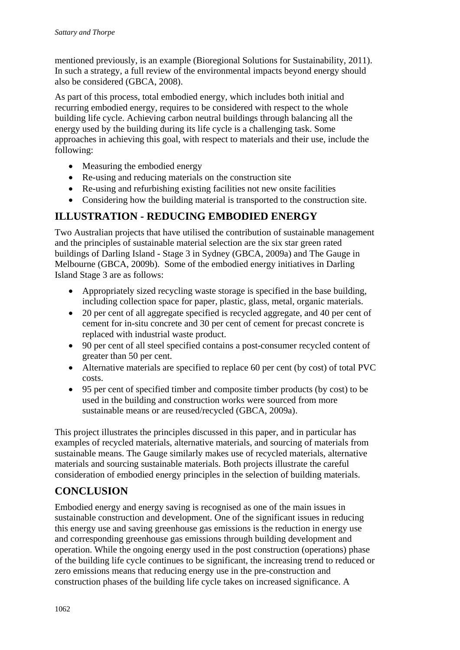mentioned previously, is an example (Bioregional Solutions for Sustainability, 2011). In such a strategy, a full review of the environmental impacts beyond energy should also be considered (GBCA, 2008).

As part of this process, total embodied energy, which includes both initial and recurring embodied energy, requires to be considered with respect to the whole building life cycle. Achieving carbon neutral buildings through balancing all the energy used by the building during its life cycle is a challenging task. Some approaches in achieving this goal, with respect to materials and their use, include the following:

- Measuring the embodied energy
- Re-using and reducing materials on the construction site
- Re-using and refurbishing existing facilities not new onsite facilities
- Considering how the building material is transported to the construction site.

## **ILLUSTRATION - REDUCING EMBODIED ENERGY**

Two Australian projects that have utilised the contribution of sustainable management and the principles of sustainable material selection are the six star green rated buildings of Darling Island - Stage 3 in Sydney (GBCA, 2009a) and The Gauge in Melbourne (GBCA, 2009b). Some of the embodied energy initiatives in Darling Island Stage 3 are as follows:

- Appropriately sized recycling waste storage is specified in the base building, including collection space for paper, plastic, glass, metal, organic materials.
- 20 per cent of all aggregate specified is recycled aggregate, and 40 per cent of cement for in-situ concrete and 30 per cent of cement for precast concrete is replaced with industrial waste product.
- 90 per cent of all steel specified contains a post-consumer recycled content of greater than 50 per cent.
- Alternative materials are specified to replace 60 per cent (by cost) of total PVC costs.
- 95 per cent of specified timber and composite timber products (by cost) to be used in the building and construction works were sourced from more sustainable means or are reused/recycled (GBCA, 2009a).

This project illustrates the principles discussed in this paper, and in particular has examples of recycled materials, alternative materials, and sourcing of materials from sustainable means. The Gauge similarly makes use of recycled materials, alternative materials and sourcing sustainable materials. Both projects illustrate the careful consideration of embodied energy principles in the selection of building materials.

## **CONCLUSION**

Embodied energy and energy saving is recognised as one of the main issues in sustainable construction and development. One of the significant issues in reducing this energy use and saving greenhouse gas emissions is the reduction in energy use and corresponding greenhouse gas emissions through building development and operation. While the ongoing energy used in the post construction (operations) phase of the building life cycle continues to be significant, the increasing trend to reduced or zero emissions means that reducing energy use in the pre-construction and construction phases of the building life cycle takes on increased significance. A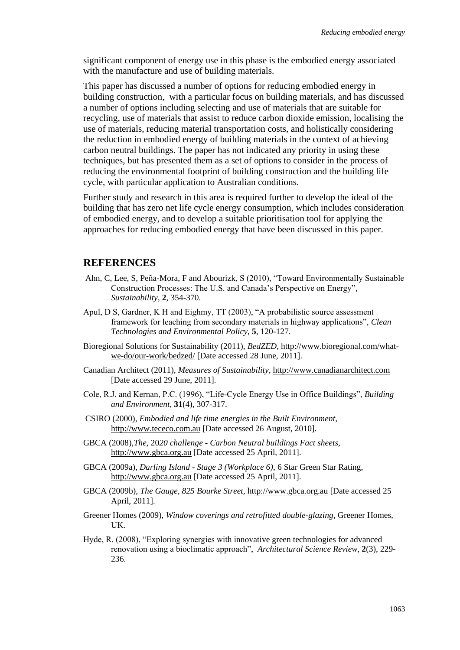significant component of energy use in this phase is the embodied energy associated with the manufacture and use of building materials.

This paper has discussed a number of options for reducing embodied energy in building construction, with a particular focus on building materials, and has discussed a number of options including selecting and use of materials that are suitable for recycling, use of materials that assist to reduce carbon dioxide emission, localising the use of materials, reducing material transportation costs, and holistically considering the reduction in embodied energy of building materials in the context of achieving carbon neutral buildings. The paper has not indicated any priority in using these techniques, but has presented them as a set of options to consider in the process of reducing the environmental footprint of building construction and the building life cycle, with particular application to Australian conditions.

Further study and research in this area is required further to develop the ideal of the building that has zero net life cycle energy consumption, which includes consideration of embodied energy, and to develop a suitable prioritisation tool for applying the approaches for reducing embodied energy that have been discussed in this paper.

#### **REFERENCES**

- Ahn, C, Lee, S, Peña-Mora, F and Abourizk, S (2010), "Toward Environmentally Sustainable Construction Processes: The U.S. and Canada's Perspective on Energy", *Sustainability*, **2**, 354-370.
- Apul, D S, Gardner, K H and Eighmy, TT (2003), "A probabilistic source assessment framework for leaching from secondary materials in highway applications", *Clean Technologies and Environmental Policy*, **5**, 120-127.
- Bioregional Solutions for Sustainability (2011), *BedZED*, [http://www.bioregional.com/what](http://www.bioregional.com/what-we-do/our-work/bedzed/)[we-do/our-work/bedzed/](http://www.bioregional.com/what-we-do/our-work/bedzed/) [Date accessed 28 June, 2011].
- Canadian Architect (2011), *Measures of Sustainability*, [http://www.canadianarchitect.com](http://www.canadianarchitect.com/) [Date accessed 29 June, 2011].
- Cole, R.J. and Kernan, P.C. (1996), "Life-Cycle Energy Use in Office Buildings", *Building and Environment*, **31**(4), 307-317.
- CSIRO (2000), *Embodied and life time energies in the Built Environment*, [http://www.tececo.com.au](http://www.tececo.com.au/) [Date accessed 26 August, 2010].
- GBCA (2008),*The*, 20*20 challenge - Carbon Neutral buildings Fact sheets,*  [http://www.gbca.org.au](http://www.gbca.org.au/) [Date accessed 25 April, 2011].
- GBCA (2009a), *Darling Island - Stage 3 (Workplace 6)*, 6 Star Green Star Rating, [http://www.gbca.org.au](http://www.gbca.org.au/) [Date accessed 25 April, 2011].
- GBCA (2009b), *The Gauge, 825 Bourke Street,* [http://www.gbca.org.au](http://www.gbca.org.au/) [Date accessed 25 April, 2011].
- Greener Homes (2009), *Window coverings and retrofitted double-glazing*, Greener Homes, UK.
- Hyde, R. (2008), "Exploring synergies with innovative green technologies for advanced renovation using a bioclimatic approach", *Architectural Science Review*, **2**(3), 229- 236.